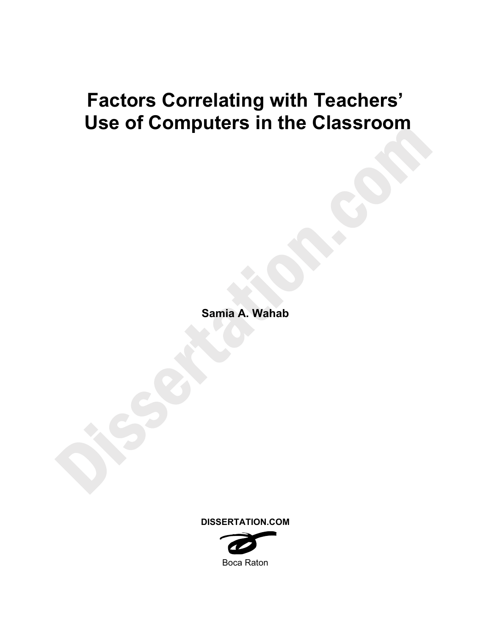# **Factors Correlating with Teachers' Use of Computers in the Classroom**

**Samia A. Wahab** 

**DISSERTATION.COM** 

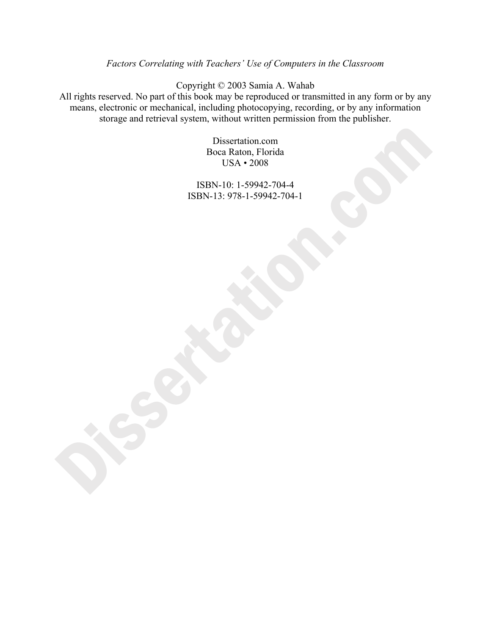### *Factors Correlating with Teachers' Use of Computers in the Classroom*

Copyright © 2003 Samia A. Wahab

All rights reserved. No part of this book may be reproduced or transmitted in any form or by any means, electronic or mechanical, including photocopying, recording, or by any information storage and retrieval system, without written permission from the publisher.

> Dissertation.com Boca Raton, Florida USA • 2008

ISBN-10: 1-59942-704-4 ISBN-13: 978-1-59942-704-1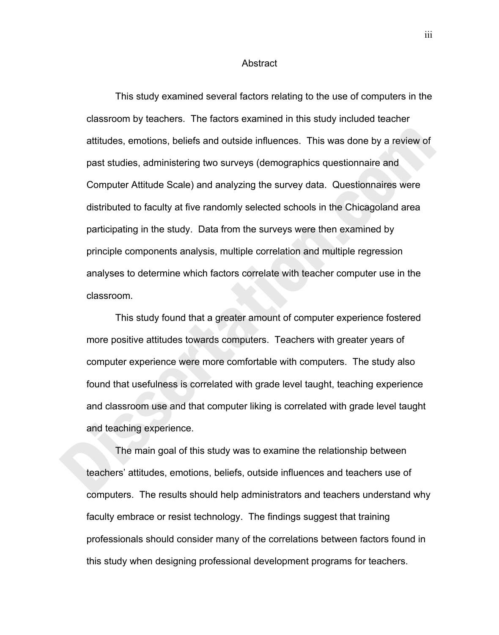#### Abstract

This study examined several factors relating to the use of computers in the classroom by teachers. The factors examined in this study included teacher attitudes, emotions, beliefs and outside influences. This was done by a review of past studies, administering two surveys (demographics questionnaire and Computer Attitude Scale) and analyzing the survey data. Questionnaires were distributed to faculty at five randomly selected schools in the Chicagoland area participating in the study. Data from the surveys were then examined by principle components analysis, multiple correlation and multiple regression analyses to determine which factors correlate with teacher computer use in the classroom.

This study found that a greater amount of computer experience fostered more positive attitudes towards computers. Teachers with greater years of computer experience were more comfortable with computers. The study also found that usefulness is correlated with grade level taught, teaching experience and classroom use and that computer liking is correlated with grade level taught and teaching experience.

The main goal of this study was to examine the relationship between teachers' attitudes, emotions, beliefs, outside influences and teachers use of computers. The results should help administrators and teachers understand why faculty embrace or resist technology. The findings suggest that training professionals should consider many of the correlations between factors found in this study when designing professional development programs for teachers.

iii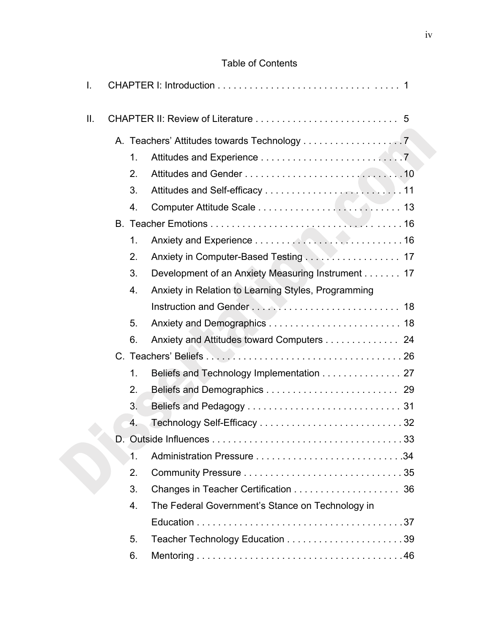## Table of Contents

| I.  |               |                                                     |  |
|-----|---------------|-----------------------------------------------------|--|
| ΙΙ. |               |                                                     |  |
|     |               | A. Teachers' Attitudes towards Technology 7         |  |
|     | 1.            |                                                     |  |
|     | 2.            |                                                     |  |
|     | 3.            |                                                     |  |
|     | 4.            |                                                     |  |
|     |               |                                                     |  |
|     | 1.            |                                                     |  |
|     | 2.            | Anxiety in Computer-Based Testing 17                |  |
|     | 3.            | Development of an Anxiety Measuring Instrument 17   |  |
|     | 4.            | Anxiety in Relation to Learning Styles, Programming |  |
|     |               |                                                     |  |
|     | 5.            |                                                     |  |
|     | 6.            | Anxiety and Attitudes toward Computers 24           |  |
|     |               |                                                     |  |
|     | $\mathbf 1$ . | Beliefs and Technology Implementation 27            |  |
|     | 2.            |                                                     |  |
|     | 3.            |                                                     |  |
|     | 4.            |                                                     |  |
|     |               |                                                     |  |
|     | $\mathbf 1$ . |                                                     |  |
|     | 2.            |                                                     |  |
|     | 3.            |                                                     |  |
|     | 4.            | The Federal Government's Stance on Technology in    |  |
|     |               |                                                     |  |
|     | 5.            |                                                     |  |
|     | 6.            |                                                     |  |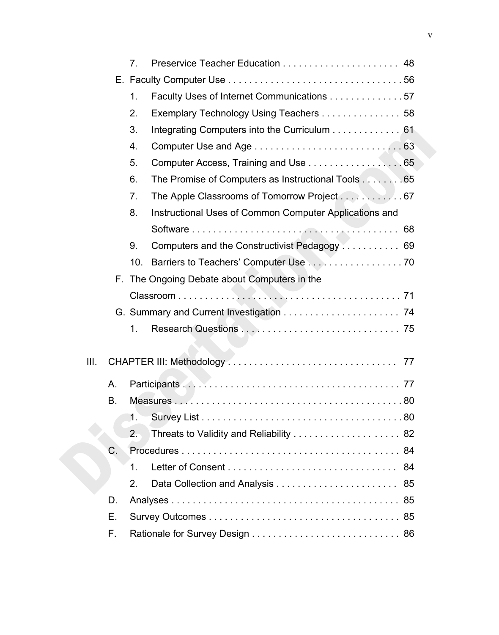|          |    | 7 <sub>1</sub> |                                                        |    |
|----------|----|----------------|--------------------------------------------------------|----|
|          |    |                |                                                        |    |
|          |    |                |                                                        |    |
|          |    | 1.             | Faculty Uses of Internet Communications 57             |    |
|          |    | 2.             | Exemplary Technology Using Teachers 58                 |    |
|          |    | 3.             | Integrating Computers into the Curriculum 61           |    |
|          |    | 4.             |                                                        |    |
|          |    | 5.             | Computer Access, Training and Use 65                   |    |
|          |    | 6.             | The Promise of Computers as Instructional Tools 65     |    |
|          |    | 7.             | The Apple Classrooms of Tomorrow Project 67            |    |
|          |    | 8.             | Instructional Uses of Common Computer Applications and |    |
|          |    |                |                                                        |    |
|          |    | 9.             | Computers and the Constructivist Pedagogy 69           |    |
|          |    | 10.            | Barriers to Teachers' Computer Use 70                  |    |
|          |    |                | F. The Ongoing Debate about Computers in the           |    |
|          |    |                |                                                        |    |
|          |    |                |                                                        |    |
|          |    | 1.             |                                                        |    |
| III.     |    |                |                                                        |    |
|          |    |                |                                                        |    |
| A.<br>В. |    |                |                                                        |    |
|          |    |                |                                                        |    |
|          |    | 1.             |                                                        |    |
|          |    | 2.             | Threats to Validity and Reliability  82                |    |
|          | C. |                |                                                        |    |
|          |    | 1.             |                                                        | 84 |
|          |    | 2.             |                                                        |    |
|          | D. |                |                                                        |    |
|          | Е. |                |                                                        |    |
|          | F. |                |                                                        |    |
|          |    |                |                                                        |    |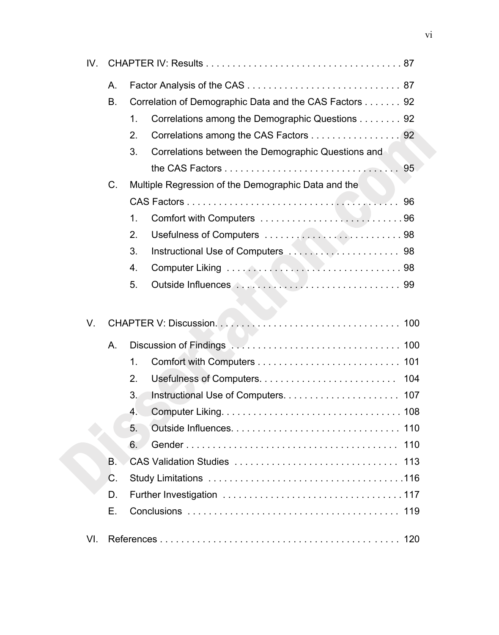| IV. |    |                        |                                                        |     |
|-----|----|------------------------|--------------------------------------------------------|-----|
|     | A. |                        |                                                        |     |
|     | В. |                        | Correlation of Demographic Data and the CAS Factors 92 |     |
|     |    | $\mathbf 1$ .          | Correlations among the Demographic Questions 92        |     |
|     |    | 2.                     | Correlations among the CAS Factors 92                  |     |
|     |    | 3.                     | Correlations between the Demographic Questions and     |     |
|     |    |                        |                                                        |     |
|     | C. |                        | Multiple Regression of the Demographic Data and the    |     |
|     |    |                        |                                                        |     |
|     |    | $\mathbf 1$ .          |                                                        |     |
|     |    | 2.                     |                                                        |     |
|     |    | 3.                     |                                                        |     |
|     |    | 4.                     |                                                        |     |
|     |    | 5.                     |                                                        |     |
| V.  |    |                        |                                                        |     |
| Α.  |    |                        |                                                        |     |
|     |    | 1.                     |                                                        |     |
|     |    | 2.                     | Usefulness of Computers                                | 104 |
|     |    | 3.                     |                                                        |     |
|     |    | 4.                     |                                                        |     |
|     |    | 5.                     |                                                        |     |
|     |    | 6.                     |                                                        | 110 |
|     | В. | CAS Validation Studies |                                                        | 113 |
|     | C. |                        |                                                        |     |
|     | D. |                        |                                                        |     |
|     | Е. |                        |                                                        |     |
| VI. |    | 120                    |                                                        |     |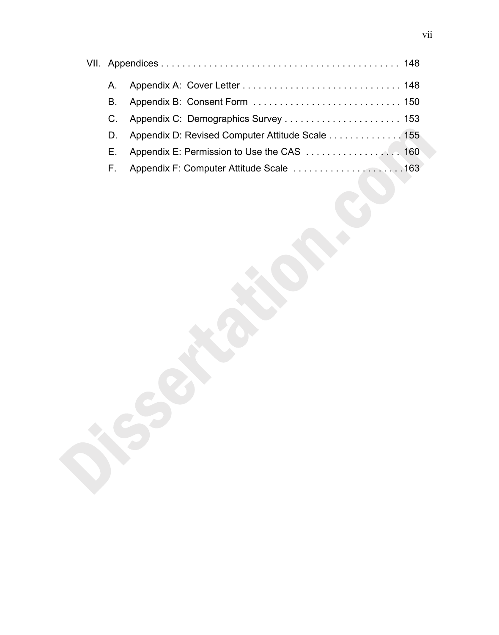| A. |                                                 |  |
|----|-------------------------------------------------|--|
| B. |                                                 |  |
|    |                                                 |  |
| D. | Appendix D: Revised Computer Attitude Scale 155 |  |
| Е. |                                                 |  |
| F. | Appendix F: Computer Attitude Scale 163         |  |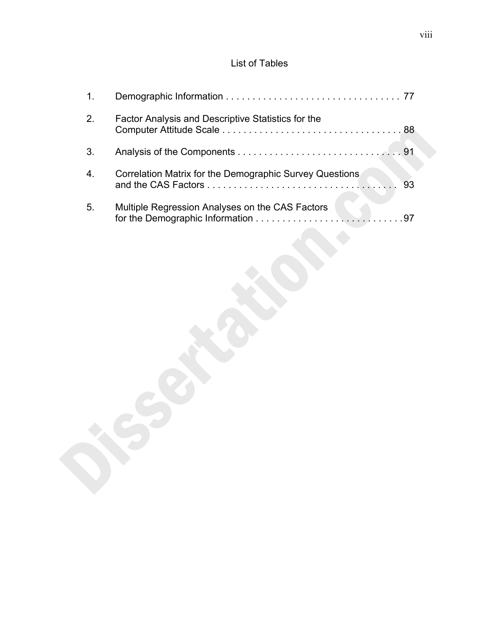# List of Tables

| 1.               |                                                         |  |
|------------------|---------------------------------------------------------|--|
| 2.               | Factor Analysis and Descriptive Statistics for the      |  |
| 3.               |                                                         |  |
| $\overline{4}$ . | Correlation Matrix for the Demographic Survey Questions |  |
| 5 <sub>1</sub>   | Multiple Regression Analyses on the CAS Factors         |  |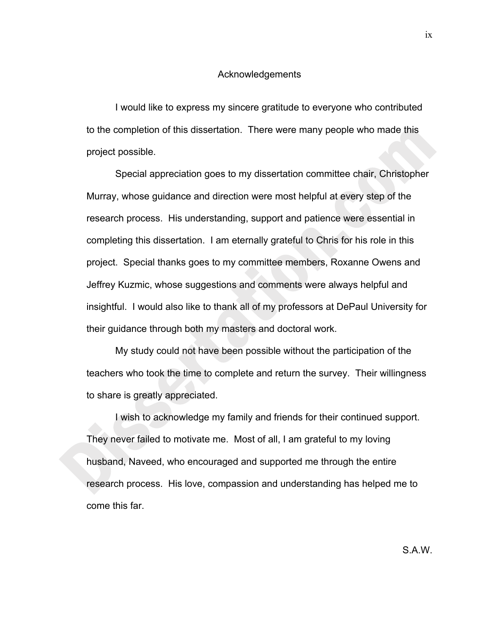#### Acknowledgements

I would like to express my sincere gratitude to everyone who contributed to the completion of this dissertation. There were many people who made this project possible.

Special appreciation goes to my dissertation committee chair, Christopher Murray, whose guidance and direction were most helpful at every step of the research process. His understanding, support and patience were essential in completing this dissertation. I am eternally grateful to Chris for his role in this project. Special thanks goes to my committee members, Roxanne Owens and Jeffrey Kuzmic, whose suggestions and comments were always helpful and insightful. I would also like to thank all of my professors at DePaul University for their guidance through both my masters and doctoral work.

My study could not have been possible without the participation of the teachers who took the time to complete and return the survey. Their willingness to share is greatly appreciated.

I wish to acknowledge my family and friends for their continued support. They never failed to motivate me. Most of all, I am grateful to my loving husband, Naveed, who encouraged and supported me through the entire research process. His love, compassion and understanding has helped me to come this far.

ix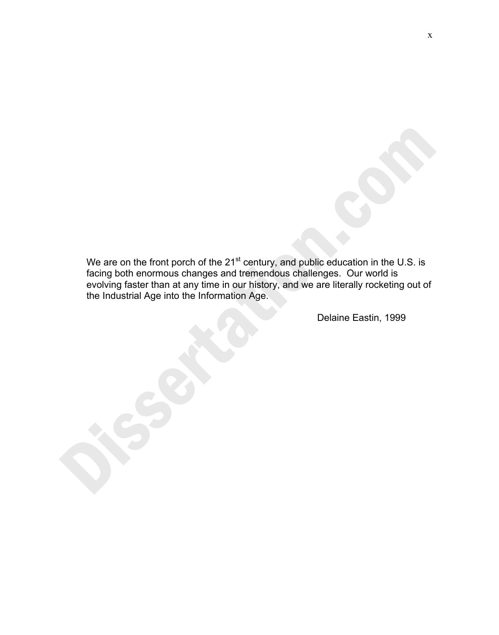We are on the front porch of the  $21^{st}$  century, and public education in the U.S. is facing both enormous changes and tremendous challenges. Our world is evolving faster than at any time in our history, and we are literally rocketing out of the Industrial Age into the Information Age.

Delaine Eastin, 1999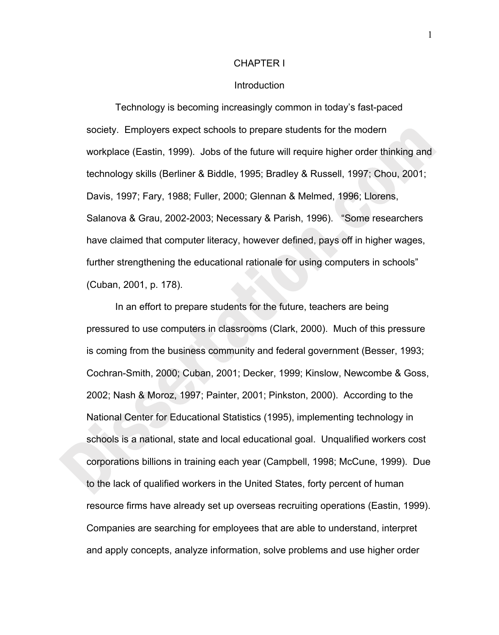#### CHAPTER I

#### Introduction

 Technology is becoming increasingly common in today's fast-paced society. Employers expect schools to prepare students for the modern workplace (Eastin, 1999). Jobs of the future will require higher order thinking and technology skills (Berliner & Biddle, 1995; Bradley & Russell, 1997; Chou, 2001; Davis, 1997; Fary, 1988; Fuller, 2000; Glennan & Melmed, 1996; Llorens, Salanova & Grau, 2002-2003; Necessary & Parish, 1996). "Some researchers have claimed that computer literacy, however defined, pays off in higher wages, further strengthening the educational rationale for using computers in schools" (Cuban, 2001, p. 178).

In an effort to prepare students for the future, teachers are being pressured to use computers in classrooms (Clark, 2000). Much of this pressure is coming from the business community and federal government (Besser, 1993; Cochran-Smith, 2000; Cuban, 2001; Decker, 1999; Kinslow, Newcombe & Goss, 2002; Nash & Moroz, 1997; Painter, 2001; Pinkston, 2000). According to the National Center for Educational Statistics (1995), implementing technology in schools is a national, state and local educational goal. Unqualified workers cost corporations billions in training each year (Campbell, 1998; McCune, 1999). Due to the lack of qualified workers in the United States, forty percent of human resource firms have already set up overseas recruiting operations (Eastin, 1999). Companies are searching for employees that are able to understand, interpret and apply concepts, analyze information, solve problems and use higher order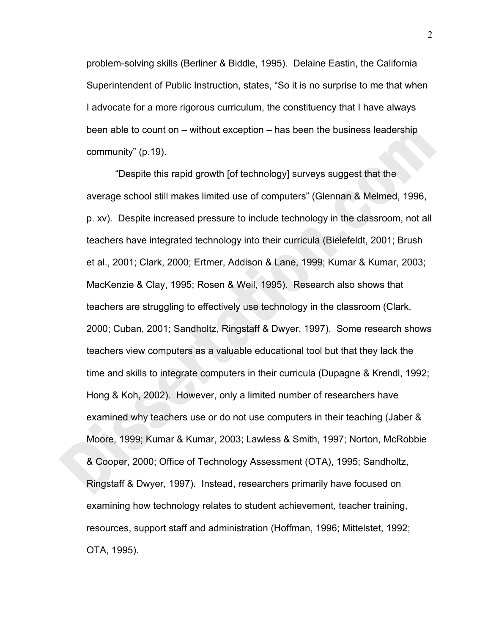problem-solving skills (Berliner & Biddle, 1995). Delaine Eastin, the California Superintendent of Public Instruction, states, "So it is no surprise to me that when I advocate for a more rigorous curriculum, the constituency that I have always been able to count on – without exception – has been the business leadership community" (p.19).

"Despite this rapid growth [of technology] surveys suggest that the average school still makes limited use of computers" (Glennan & Melmed, 1996, p. xv). Despite increased pressure to include technology in the classroom, not all teachers have integrated technology into their curricula (Bielefeldt, 2001; Brush et al., 2001; Clark, 2000; Ertmer, Addison & Lane, 1999; Kumar & Kumar, 2003; MacKenzie & Clay, 1995; Rosen & Weil, 1995). Research also shows that teachers are struggling to effectively use technology in the classroom (Clark, 2000; Cuban, 2001; Sandholtz, Ringstaff & Dwyer, 1997). Some research shows teachers view computers as a valuable educational tool but that they lack the time and skills to integrate computers in their curricula (Dupagne & Krendl, 1992; Hong & Koh, 2002). However, only a limited number of researchers have examined why teachers use or do not use computers in their teaching (Jaber & Moore, 1999; Kumar & Kumar, 2003; Lawless & Smith, 1997; Norton, McRobbie & Cooper, 2000; Office of Technology Assessment (OTA), 1995; Sandholtz, Ringstaff & Dwyer, 1997). Instead, researchers primarily have focused on examining how technology relates to student achievement, teacher training, resources, support staff and administration (Hoffman, 1996; Mittelstet, 1992; OTA, 1995).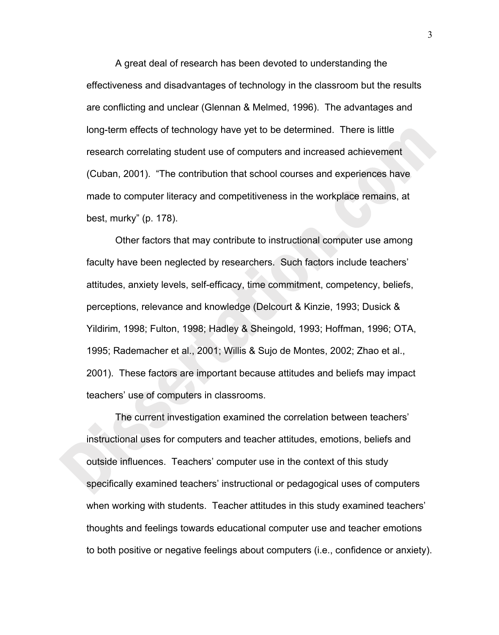A great deal of research has been devoted to understanding the effectiveness and disadvantages of technology in the classroom but the results are conflicting and unclear (Glennan & Melmed, 1996). The advantages and long-term effects of technology have yet to be determined. There is little research correlating student use of computers and increased achievement (Cuban, 2001). "The contribution that school courses and experiences have made to computer literacy and competitiveness in the workplace remains, at best, murky" (p. 178).

Other factors that may contribute to instructional computer use among faculty have been neglected by researchers. Such factors include teachers' attitudes, anxiety levels, self-efficacy, time commitment, competency, beliefs, perceptions, relevance and knowledge (Delcourt & Kinzie, 1993; Dusick & Yildirim, 1998; Fulton, 1998; Hadley & Sheingold, 1993; Hoffman, 1996; OTA, 1995; Rademacher et al., 2001; Willis & Sujo de Montes, 2002; Zhao et al., 2001). These factors are important because attitudes and beliefs may impact teachers' use of computers in classrooms.

 The current investigation examined the correlation between teachers' instructional uses for computers and teacher attitudes, emotions, beliefs and outside influences. Teachers' computer use in the context of this study specifically examined teachers' instructional or pedagogical uses of computers when working with students. Teacher attitudes in this study examined teachers' thoughts and feelings towards educational computer use and teacher emotions to both positive or negative feelings about computers (i.e., confidence or anxiety).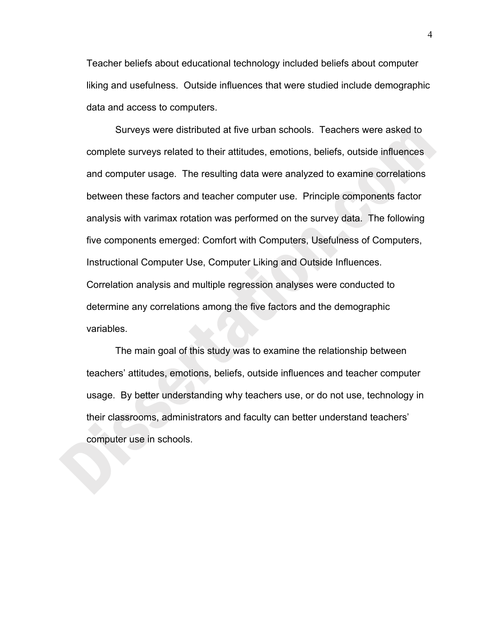Teacher beliefs about educational technology included beliefs about computer liking and usefulness. Outside influences that were studied include demographic data and access to computers.

Surveys were distributed at five urban schools. Teachers were asked to complete surveys related to their attitudes, emotions, beliefs, outside influences and computer usage. The resulting data were analyzed to examine correlations between these factors and teacher computer use. Principle components factor analysis with varimax rotation was performed on the survey data. The following five components emerged: Comfort with Computers, Usefulness of Computers, Instructional Computer Use, Computer Liking and Outside Influences. Correlation analysis and multiple regression analyses were conducted to determine any correlations among the five factors and the demographic variables.

The main goal of this study was to examine the relationship between teachers' attitudes, emotions, beliefs, outside influences and teacher computer usage. By better understanding why teachers use, or do not use, technology in their classrooms, administrators and faculty can better understand teachers' computer use in schools.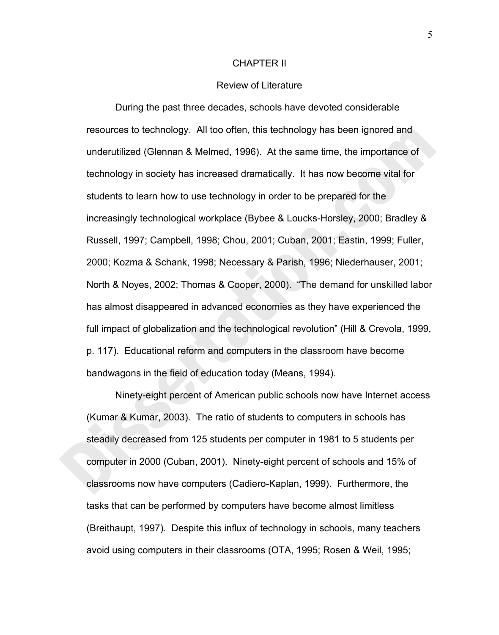#### CHAPTER II

#### Review of Literature

 During the past three decades, schools have devoted considerable resources to technology. All too often, this technology has been ignored and underutilized (Glennan & Melmed, 1996). At the same time, the importance of technology in society has increased dramatically. It has now become vital for students to learn how to use technology in order to be prepared for the increasingly technological workplace (Bybee & Loucks-Horsley, 2000; Bradley & Russell, 1997; Campbell, 1998; Chou, 2001; Cuban, 2001; Eastin, 1999; Fuller, 2000; Kozma & Schank, 1998; Necessary & Parish, 1996; Niederhauser, 2001; North & Noyes, 2002; Thomas & Cooper, 2000). "The demand for unskilled labor has almost disappeared in advanced economies as they have experienced the full impact of globalization and the technological revolution" (Hill & Crevola, 1999, p. 117). Educational reform and computers in the classroom have become bandwagons in the field of education today (Means, 1994).

Ninety-eight percent of American public schools now have Internet access (Kumar & Kumar, 2003). The ratio of students to computers in schools has steadily decreased from 125 students per computer in 1981 to 5 students per computer in 2000 (Cuban, 2001). Ninety-eight percent of schools and 15% of classrooms now have computers (Cadiero-Kaplan, 1999). Furthermore, the tasks that can be performed by computers have become almost limitless (Breithaupt, 1997). Despite this influx of technology in schools, many teachers avoid using computers in their classrooms (OTA, 1995; Rosen & Weil, 1995;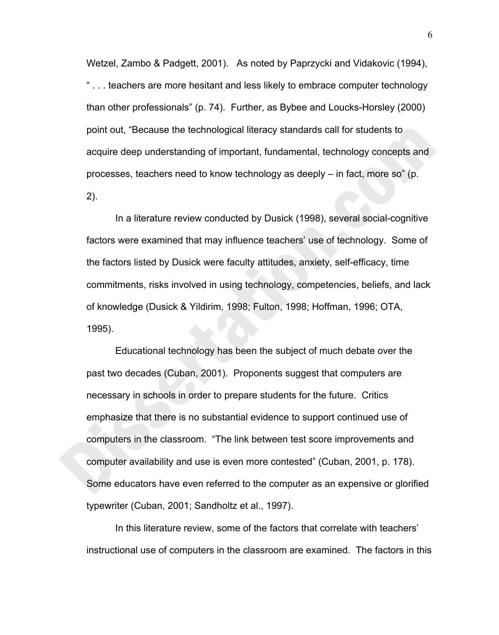Wetzel, Zambo & Padgett, 2001). As noted by Paprzycki and Vidakovic (1994), " . . . teachers are more hesitant and less likely to embrace computer technology than other professionals" (p. 74). Further, as Bybee and Loucks-Horsley (2000) point out, "Because the technological literacy standards call for students to acquire deep understanding of important, fundamental, technology concepts and processes, teachers need to know technology as deeply – in fact, more so" (p. 2).

 In a literature review conducted by Dusick (1998), several social-cognitive factors were examined that may influence teachers' use of technology. Some of the factors listed by Dusick were faculty attitudes, anxiety, self-efficacy, time commitments, risks involved in using technology, competencies, beliefs, and lack of knowledge (Dusick & Yildirim, 1998; Fulton, 1998; Hoffman, 1996; OTA, 1995).

 Educational technology has been the subject of much debate over the past two decades (Cuban, 2001). Proponents suggest that computers are necessary in schools in order to prepare students for the future. Critics emphasize that there is no substantial evidence to support continued use of computers in the classroom. "The link between test score improvements and computer availability and use is even more contested" (Cuban, 2001, p. 178). Some educators have even referred to the computer as an expensive or glorified typewriter (Cuban, 2001; Sandholtz et al., 1997).

In this literature review, some of the factors that correlate with teachers' instructional use of computers in the classroom are examined. The factors in this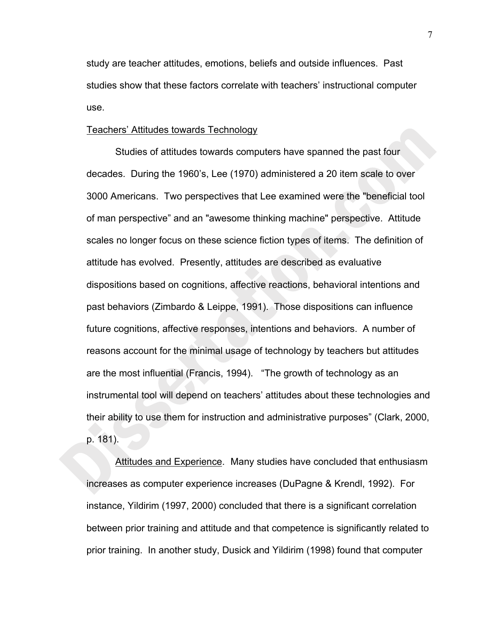study are teacher attitudes, emotions, beliefs and outside influences. Past studies show that these factors correlate with teachers' instructional computer use.

#### Teachers' Attitudes towards Technology

Studies of attitudes towards computers have spanned the past four decades. During the 1960's, Lee (1970) administered a 20 item scale to over 3000 Americans. Two perspectives that Lee examined were the "beneficial tool of man perspective" and an "awesome thinking machine" perspective. Attitude scales no longer focus on these science fiction types of items. The definition of attitude has evolved. Presently, attitudes are described as evaluative dispositions based on cognitions, affective reactions, behavioral intentions and past behaviors (Zimbardo & Leippe, 1991). Those dispositions can influence future cognitions, affective responses, intentions and behaviors. A number of reasons account for the minimal usage of technology by teachers but attitudes are the most influential (Francis, 1994). "The growth of technology as an instrumental tool will depend on teachers' attitudes about these technologies and their ability to use them for instruction and administrative purposes" (Clark, 2000, p. 181).

Attitudes and Experience. Many studies have concluded that enthusiasm increases as computer experience increases (DuPagne & Krendl, 1992). For instance, Yildirim (1997, 2000) concluded that there is a significant correlation between prior training and attitude and that competence is significantly related to prior training. In another study, Dusick and Yildirim (1998) found that computer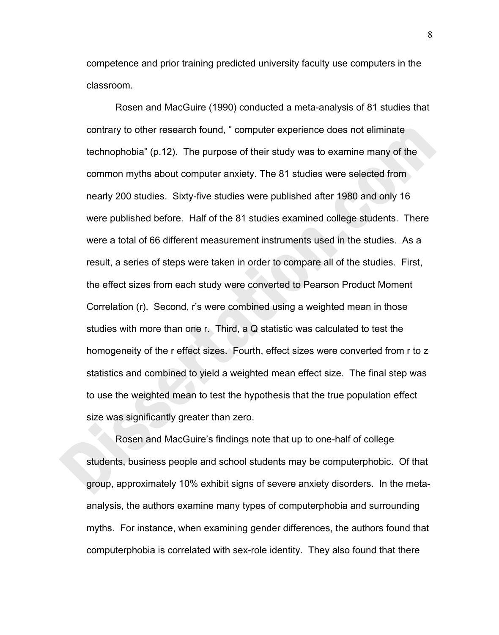competence and prior training predicted university faculty use computers in the classroom.

Rosen and MacGuire (1990) conducted a meta-analysis of 81 studies that contrary to other research found, " computer experience does not eliminate technophobia" (p.12). The purpose of their study was to examine many of the common myths about computer anxiety. The 81 studies were selected from nearly 200 studies. Sixty-five studies were published after 1980 and only 16 were published before. Half of the 81 studies examined college students. There were a total of 66 different measurement instruments used in the studies. As a result, a series of steps were taken in order to compare all of the studies. First, the effect sizes from each study were converted to Pearson Product Moment Correlation (r). Second, r's were combined using a weighted mean in those studies with more than one r. Third, a Q statistic was calculated to test the homogeneity of the r effect sizes. Fourth, effect sizes were converted from r to z statistics and combined to yield a weighted mean effect size. The final step was to use the weighted mean to test the hypothesis that the true population effect size was significantly greater than zero.

Rosen and MacGuire's findings note that up to one-half of college students, business people and school students may be computerphobic. Of that group, approximately 10% exhibit signs of severe anxiety disorders. In the metaanalysis, the authors examine many types of computerphobia and surrounding myths. For instance, when examining gender differences, the authors found that computerphobia is correlated with sex-role identity. They also found that there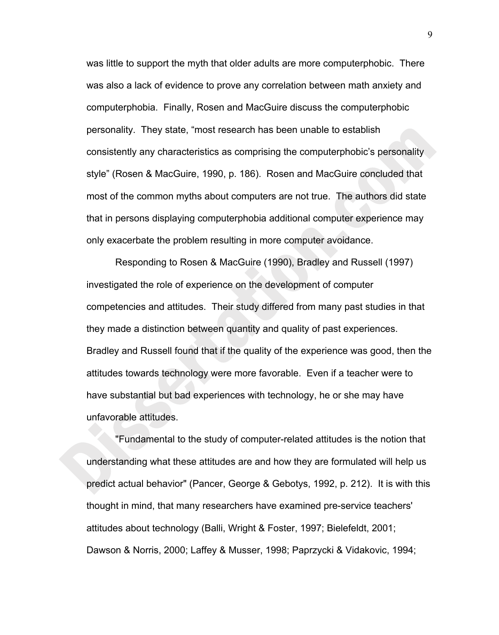was little to support the myth that older adults are more computerphobic. There was also a lack of evidence to prove any correlation between math anxiety and computerphobia. Finally, Rosen and MacGuire discuss the computerphobic personality. They state, "most research has been unable to establish consistently any characteristics as comprising the computerphobic's personality style" (Rosen & MacGuire, 1990, p. 186). Rosen and MacGuire concluded that most of the common myths about computers are not true. The authors did state that in persons displaying computerphobia additional computer experience may only exacerbate the problem resulting in more computer avoidance.

Responding to Rosen & MacGuire (1990), Bradley and Russell (1997) investigated the role of experience on the development of computer competencies and attitudes. Their study differed from many past studies in that they made a distinction between quantity and quality of past experiences. Bradley and Russell found that if the quality of the experience was good, then the attitudes towards technology were more favorable. Even if a teacher were to have substantial but bad experiences with technology, he or she may have unfavorable attitudes.

 "Fundamental to the study of computer-related attitudes is the notion that understanding what these attitudes are and how they are formulated will help us predict actual behavior" (Pancer, George & Gebotys, 1992, p. 212). It is with this thought in mind, that many researchers have examined pre-service teachers' attitudes about technology (Balli, Wright & Foster, 1997; Bielefeldt, 2001; Dawson & Norris, 2000; Laffey & Musser, 1998; Paprzycki & Vidakovic, 1994;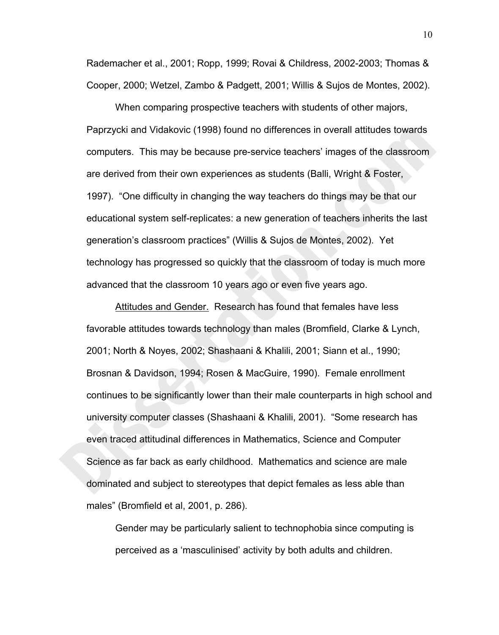Rademacher et al., 2001; Ropp, 1999; Rovai & Childress, 2002-2003; Thomas & Cooper, 2000; Wetzel, Zambo & Padgett, 2001; Willis & Sujos de Montes, 2002).

 When comparing prospective teachers with students of other majors, Paprzycki and Vidakovic (1998) found no differences in overall attitudes towards computers. This may be because pre-service teachers' images of the classroom are derived from their own experiences as students (Balli, Wright & Foster, 1997). "One difficulty in changing the way teachers do things may be that our educational system self-replicates: a new generation of teachers inherits the last generation's classroom practices" (Willis & Sujos de Montes, 2002). Yet technology has progressed so quickly that the classroom of today is much more advanced that the classroom 10 years ago or even five years ago.

Attitudes and Gender. Research has found that females have less favorable attitudes towards technology than males (Bromfield, Clarke & Lynch, 2001; North & Noyes, 2002; Shashaani & Khalili, 2001; Siann et al., 1990; Brosnan & Davidson, 1994; Rosen & MacGuire, 1990). Female enrollment continues to be significantly lower than their male counterparts in high school and university computer classes (Shashaani & Khalili, 2001). "Some research has even traced attitudinal differences in Mathematics, Science and Computer Science as far back as early childhood. Mathematics and science are male dominated and subject to stereotypes that depict females as less able than males" (Bromfield et al, 2001, p. 286).

Gender may be particularly salient to technophobia since computing is perceived as a 'masculinised' activity by both adults and children.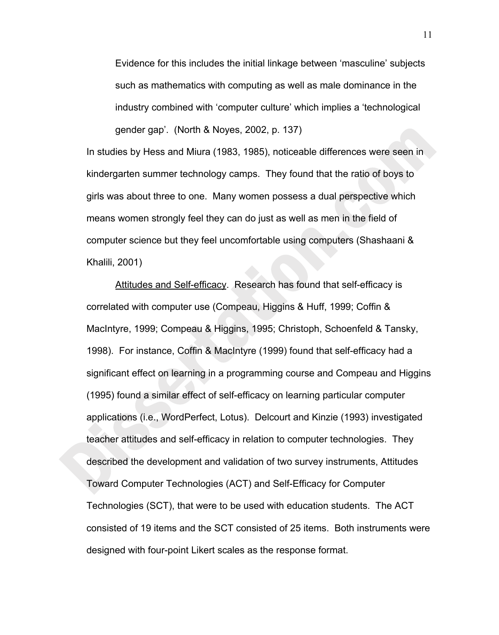Evidence for this includes the initial linkage between 'masculine' subjects such as mathematics with computing as well as male dominance in the industry combined with 'computer culture' which implies a 'technological gender gap'. (North & Noyes, 2002, p. 137)

In studies by Hess and Miura (1983, 1985), noticeable differences were seen in kindergarten summer technology camps. They found that the ratio of boys to girls was about three to one. Many women possess a dual perspective which means women strongly feel they can do just as well as men in the field of computer science but they feel uncomfortable using computers (Shashaani & Khalili, 2001)

Attitudes and Self-efficacy. Research has found that self-efficacy is correlated with computer use (Compeau, Higgins & Huff, 1999; Coffin & MacIntyre, 1999; Compeau & Higgins, 1995; Christoph, Schoenfeld & Tansky, 1998). For instance, Coffin & MacIntyre (1999) found that self-efficacy had a significant effect on learning in a programming course and Compeau and Higgins (1995) found a similar effect of self-efficacy on learning particular computer applications (i.e., WordPerfect, Lotus). Delcourt and Kinzie (1993) investigated teacher attitudes and self-efficacy in relation to computer technologies. They described the development and validation of two survey instruments, Attitudes Toward Computer Technologies (ACT) and Self-Efficacy for Computer Technologies (SCT), that were to be used with education students. The ACT consisted of 19 items and the SCT consisted of 25 items. Both instruments were designed with four-point Likert scales as the response format.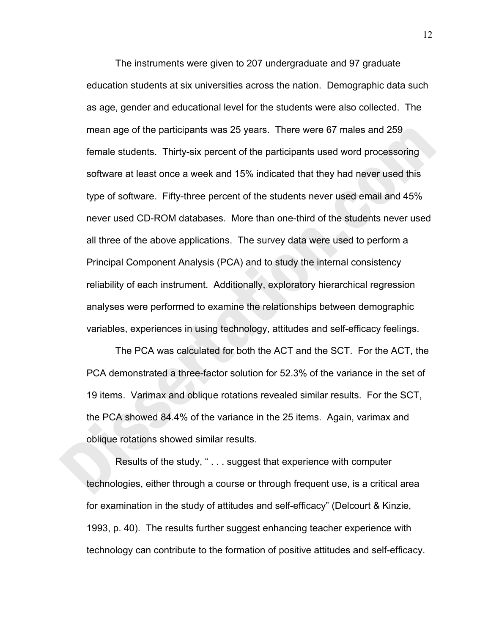The instruments were given to 207 undergraduate and 97 graduate education students at six universities across the nation. Demographic data such as age, gender and educational level for the students were also collected. The mean age of the participants was 25 years. There were 67 males and 259 female students. Thirty-six percent of the participants used word processoring software at least once a week and 15% indicated that they had never used this type of software. Fifty-three percent of the students never used email and 45% never used CD-ROM databases. More than one-third of the students never used all three of the above applications. The survey data were used to perform a Principal Component Analysis (PCA) and to study the internal consistency reliability of each instrument. Additionally, exploratory hierarchical regression analyses were performed to examine the relationships between demographic variables, experiences in using technology, attitudes and self-efficacy feelings.

The PCA was calculated for both the ACT and the SCT. For the ACT, the PCA demonstrated a three-factor solution for 52.3% of the variance in the set of 19 items. Varimax and oblique rotations revealed similar results. For the SCT, the PCA showed 84.4% of the variance in the 25 items. Again, varimax and oblique rotations showed similar results.

 Results of the study, " . . . suggest that experience with computer technologies, either through a course or through frequent use, is a critical area for examination in the study of attitudes and self-efficacy" (Delcourt & Kinzie, 1993, p. 40). The results further suggest enhancing teacher experience with technology can contribute to the formation of positive attitudes and self-efficacy.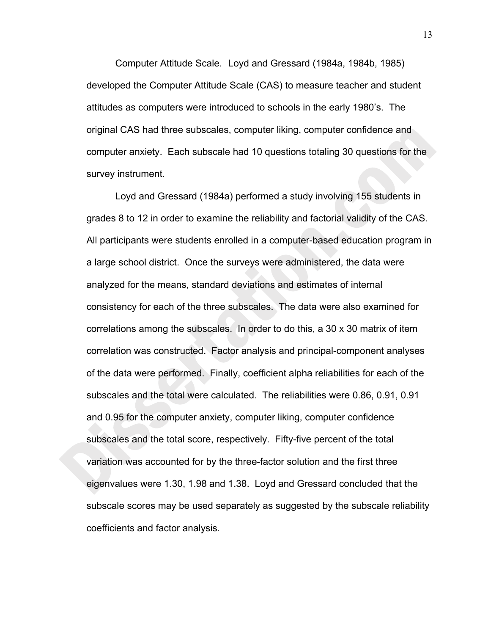Computer Attitude Scale. Loyd and Gressard (1984a, 1984b, 1985) developed the Computer Attitude Scale (CAS) to measure teacher and student attitudes as computers were introduced to schools in the early 1980's. The original CAS had three subscales, computer liking, computer confidence and computer anxiety. Each subscale had 10 questions totaling 30 questions for the survey instrument.

Loyd and Gressard (1984a) performed a study involving 155 students in grades 8 to 12 in order to examine the reliability and factorial validity of the CAS. All participants were students enrolled in a computer-based education program in a large school district. Once the surveys were administered, the data were analyzed for the means, standard deviations and estimates of internal consistency for each of the three subscales. The data were also examined for correlations among the subscales. In order to do this, a 30 x 30 matrix of item correlation was constructed. Factor analysis and principal-component analyses of the data were performed. Finally, coefficient alpha reliabilities for each of the subscales and the total were calculated. The reliabilities were 0.86, 0.91, 0.91 and 0.95 for the computer anxiety, computer liking, computer confidence subscales and the total score, respectively. Fifty-five percent of the total variation was accounted for by the three-factor solution and the first three eigenvalues were 1.30, 1.98 and 1.38. Loyd and Gressard concluded that the subscale scores may be used separately as suggested by the subscale reliability coefficients and factor analysis.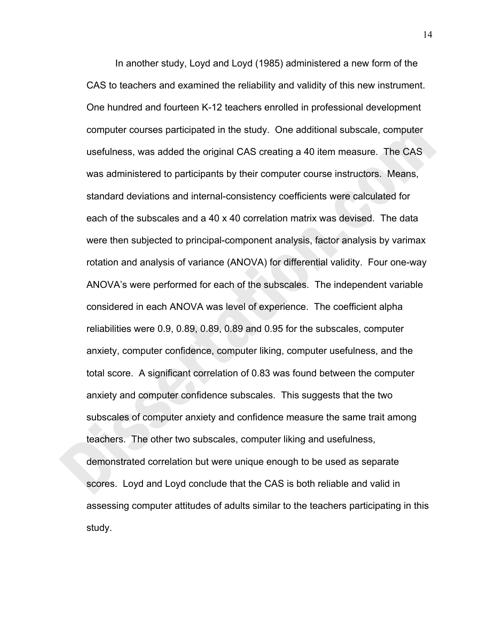In another study, Loyd and Loyd (1985) administered a new form of the CAS to teachers and examined the reliability and validity of this new instrument. One hundred and fourteen K-12 teachers enrolled in professional development computer courses participated in the study. One additional subscale, computer usefulness, was added the original CAS creating a 40 item measure. The CAS was administered to participants by their computer course instructors. Means, standard deviations and internal-consistency coefficients were calculated for each of the subscales and a 40 x 40 correlation matrix was devised. The data were then subjected to principal-component analysis, factor analysis by varimax rotation and analysis of variance (ANOVA) for differential validity. Four one-way ANOVA's were performed for each of the subscales. The independent variable considered in each ANOVA was level of experience. The coefficient alpha reliabilities were 0.9, 0.89, 0.89, 0.89 and 0.95 for the subscales, computer anxiety, computer confidence, computer liking, computer usefulness, and the total score. A significant correlation of 0.83 was found between the computer anxiety and computer confidence subscales. This suggests that the two subscales of computer anxiety and confidence measure the same trait among teachers. The other two subscales, computer liking and usefulness, demonstrated correlation but were unique enough to be used as separate scores. Loyd and Loyd conclude that the CAS is both reliable and valid in assessing computer attitudes of adults similar to the teachers participating in this study.